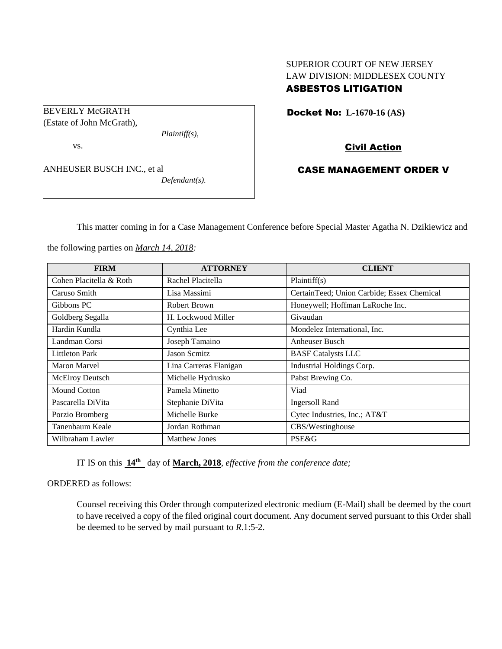# SUPERIOR COURT OF NEW JERSEY LAW DIVISION: MIDDLESEX COUNTY ASBESTOS LITIGATION

Docket No: **L-1670-16 (AS)** 

Civil Action

# CASE MANAGEMENT ORDER V

This matter coming in for a Case Management Conference before Special Master Agatha N. Dzikiewicz and

the following parties on *March 14, 2018:*

| <b>FIRM</b>             | <b>ATTORNEY</b>        | <b>CLIENT</b>                              |
|-------------------------|------------------------|--------------------------------------------|
| Cohen Placitella & Roth | Rachel Placitella      | Plaintiff(s)                               |
| Caruso Smith            | Lisa Massimi           | CertainTeed; Union Carbide; Essex Chemical |
| Gibbons PC              | Robert Brown           | Honeywell; Hoffman LaRoche Inc.            |
| Goldberg Segalla        | H. Lockwood Miller     | Givaudan                                   |
| Hardin Kundla           | Cynthia Lee            | Mondelez International, Inc.               |
| Landman Corsi           | Joseph Tamaino         | Anheuser Busch                             |
| <b>Littleton Park</b>   | <b>Jason Scmitz</b>    | <b>BASF</b> Catalysts LLC                  |
| Maron Marvel            | Lina Carreras Flanigan | Industrial Holdings Corp.                  |
| <b>McElroy Deutsch</b>  | Michelle Hydrusko      | Pabst Brewing Co.                          |
| Mound Cotton            | Pamela Minetto         | Viad                                       |
| Pascarella DiVita       | Stephanie DiVita       | <b>Ingersoll Rand</b>                      |
| Porzio Bromberg         | Michelle Burke         | Cytec Industries, Inc.; AT&T               |
| Tanenbaum Keale         | Jordan Rothman         | CBS/Westinghouse                           |
| Wilbraham Lawler        | <b>Matthew Jones</b>   | PSE&G                                      |

IT IS on this **14th** day of **March, 2018**, *effective from the conference date;*

ORDERED as follows:

Counsel receiving this Order through computerized electronic medium (E-Mail) shall be deemed by the court to have received a copy of the filed original court document. Any document served pursuant to this Order shall be deemed to be served by mail pursuant to *R*.1:5-2.

BEVERLY McGRATH (Estate of John McGrath),

vs.

ANHEUSER BUSCH INC., et al *Defendant(s).*

*Plaintiff(s),*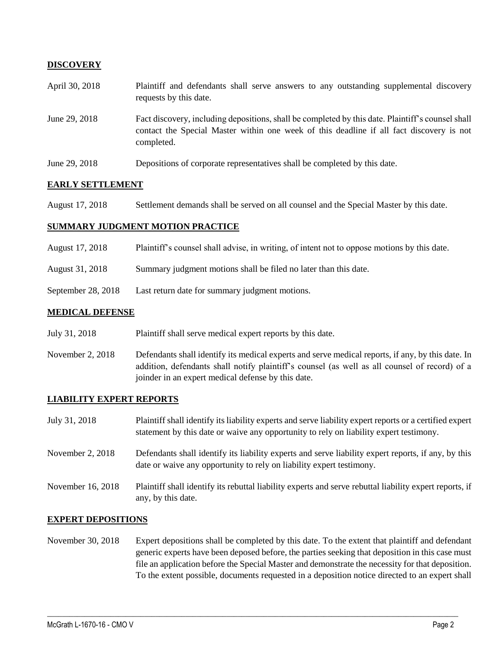### **DISCOVERY**

| April 30, 2018 | Plaintiff and defendants shall serve answers to any outstanding supplemental discovery<br>requests by this date.                                                                                            |  |
|----------------|-------------------------------------------------------------------------------------------------------------------------------------------------------------------------------------------------------------|--|
| June 29, 2018  | Fact discovery, including depositions, shall be completed by this date. Plaintiff's counsel shall<br>contact the Special Master within one week of this deadline if all fact discovery is not<br>completed. |  |
| June 29, 2018  | Depositions of corporate representatives shall be completed by this date.                                                                                                                                   |  |

### **EARLY SETTLEMENT**

August 17, 2018 Settlement demands shall be served on all counsel and the Special Master by this date.

### **SUMMARY JUDGMENT MOTION PRACTICE**

| August 17, 2018 | Plaintiff's counsel shall advise, in writing, of intent not to oppose motions by this date. |  |  |
|-----------------|---------------------------------------------------------------------------------------------|--|--|
|                 |                                                                                             |  |  |

- August 31, 2018 Summary judgment motions shall be filed no later than this date.
- September 28, 2018 Last return date for summary judgment motions.

### **MEDICAL DEFENSE**

- July 31, 2018 Plaintiff shall serve medical expert reports by this date.
- November 2, 2018 Defendants shall identify its medical experts and serve medical reports, if any, by this date. In addition, defendants shall notify plaintiff's counsel (as well as all counsel of record) of a joinder in an expert medical defense by this date.

### **LIABILITY EXPERT REPORTS**

| July 31, 2018     | Plaintiff shall identify its liability experts and serve liability expert reports or a certified expert<br>statement by this date or waive any opportunity to rely on liability expert testimony. |
|-------------------|---------------------------------------------------------------------------------------------------------------------------------------------------------------------------------------------------|
| November 2, 2018  | Defendants shall identify its liability experts and serve liability expert reports, if any, by this<br>date or waive any opportunity to rely on liability expert testimony.                       |
| November 16, 2018 | Plaintiff shall identify its rebuttal liability experts and serve rebuttal liability expert reports, if<br>any, by this date.                                                                     |

#### **EXPERT DEPOSITIONS**

November 30, 2018 Expert depositions shall be completed by this date. To the extent that plaintiff and defendant generic experts have been deposed before, the parties seeking that deposition in this case must file an application before the Special Master and demonstrate the necessity for that deposition. To the extent possible, documents requested in a deposition notice directed to an expert shall

 $\_$  ,  $\_$  ,  $\_$  ,  $\_$  ,  $\_$  ,  $\_$  ,  $\_$  ,  $\_$  ,  $\_$  ,  $\_$  ,  $\_$  ,  $\_$  ,  $\_$  ,  $\_$  ,  $\_$  ,  $\_$  ,  $\_$  ,  $\_$  ,  $\_$  ,  $\_$  ,  $\_$  ,  $\_$  ,  $\_$  ,  $\_$  ,  $\_$  ,  $\_$  ,  $\_$  ,  $\_$  ,  $\_$  ,  $\_$  ,  $\_$  ,  $\_$  ,  $\_$  ,  $\_$  ,  $\_$  ,  $\_$  ,  $\_$  ,